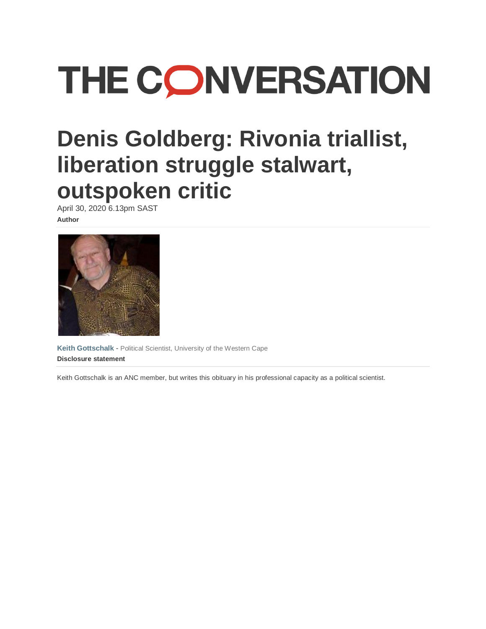# **THE CONVERSATION**

# **Denis Goldberg: Rivonia triallist, liberation struggle stalwart, outspoken critic**

April 30, 2020 6.13pm SAST **Author**



**[Keith Gottschalk](https://theconversation.com/profiles/keith-gottschalk-115227)** - Political Scientist, University of the Western Cape **Disclosure statement**

Keith Gottschalk is an ANC member, but writes this obituary in his professional capacity as a political scientist.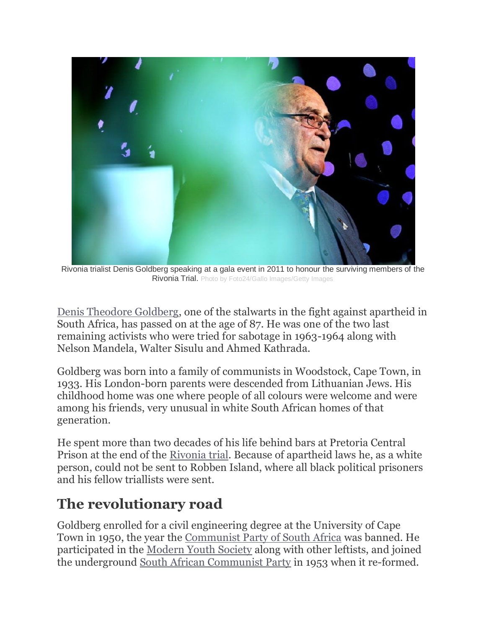

Rivonia trialist Denis Goldberg speaking at a gala event in 2011 to honour the surviving members of the Rivonia Trial. Photo by Foto24/Gallo Images/Getty Images

[Denis Theodore Goldberg,](https://www.sahistory.org.za/people/denis-theodore-goldberg-1933-2020) one of the stalwarts in the fight against apartheid in South Africa, has passed on at the age of 87. He was one of the two last remaining activists who were tried for sabotage in 1963-1964 along with Nelson Mandela, Walter Sisulu and Ahmed Kathrada.

Goldberg was born into a family of communists in Woodstock, Cape Town, in 1933. His London-born parents were descended from Lithuanian Jews. His childhood home was one where people of all colours were welcome and were among his friends, very unusual in white South African homes of that generation.

He spent more than two decades of his life behind bars at Pretoria Central Prison at the end of the [Rivonia trial.](https://www.sahistory.org.za/article/rivonia-trial-1963-1964) Because of apartheid laws he, as a white person, could not be sent to Robben Island, where all black political prisoners and his fellow triallists were sent.

### **The revolutionary road**

Goldberg enrolled for a civil engineering degree at the University of Cape Town in 1950, the year the [Communist Party of South Africa](https://www.sahistory.org.za/dated-event/suppression-communism-act-no-44-1950-approved-parliament) was banned. He participated in the [Modern Youth Society](https://www.sahistory.org.za/archive/chapter-2-denis-goldberg-and-modern-youth-society-z-pallo-jordan) along with other leftists, and joined the underground [South African Communist Party](https://omalley.nelsonmandela.org/omalley/index.php/site/q/03lv03445/04lv03446/05lv03462.htm) in 1953 when it re-formed.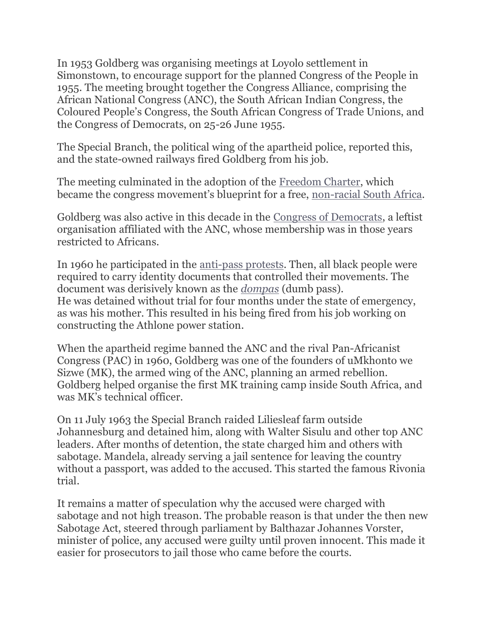In 1953 Goldberg was organising meetings at Loyolo settlement in Simonstown, to encourage support for the planned Congress of the People in 1955. The meeting brought together the Congress Alliance, comprising the African National Congress (ANC), the South African Indian Congress, the Coloured People's Congress, the South African Congress of Trade Unions, and the Congress of Democrats, on 25-26 June 1955.

The Special Branch, the political wing of the apartheid police, reported this, and the state-owned railways fired Goldberg from his job.

The meeting culminated in the adoption of the [Freedom Charter,](http://scnc.ukzn.ac.za/doc/HIST/freedomchart/freedomch.html) which became the congress movement's blueprint for a free, [non-racial South Africa.](https://theconversation.com/the-legacy-of-south-africas-freedom-charter-60-years-later-43647)

Goldberg was also active in this decade in the [Congress of Democrats,](https://www.sahistory.org.za/article/south-african-congress-democrats-cod) a leftist organisation affiliated with the ANC, whose membership was in those years restricted to Africans.

In 1960 he participated in the [anti-pass protests.](https://www.sahistory.org.za/article/anti-pass-campaigns-1960) Then, all black people were required to carry identity documents that controlled their movements. The document was derisively known as the *[dompas](https://www.sahistory.org.za/article/pass-laws-south-africa-1800-1994)* (dumb pass). He was detained without trial for four months under the state of emergency, as was his mother. This resulted in his being fired from his job working on constructing the Athlone power station.

When the apartheid regime banned the ANC and the rival Pan-Africanist Congress (PAC) in 1960, Goldberg was one of the founders of uMkhonto we Sizwe (MK), the armed wing of the ANC, planning an armed rebellion. Goldberg helped organise the first MK training camp inside South Africa, and was MK's technical officer.

On 11 July 1963 the Special Branch raided Liliesleaf farm outside Johannesburg and detained him, along with Walter Sisulu and other top ANC leaders. After months of detention, the state charged him and others with sabotage. Mandela, already serving a jail sentence for leaving the country without a passport, was added to the accused. This started the famous Rivonia trial.

It remains a matter of speculation why the accused were charged with sabotage and not high treason. The probable reason is that under the then new Sabotage Act, steered through parliament by Balthazar Johannes Vorster, minister of police, any accused were guilty until proven innocent. This made it easier for prosecutors to jail those who came before the courts.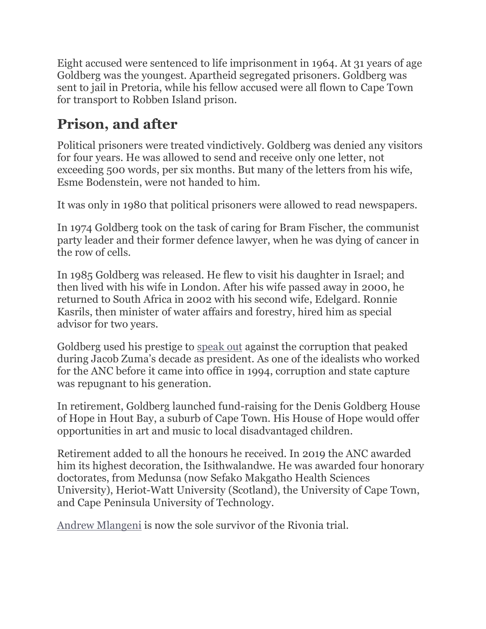Eight accused were sentenced to life imprisonment in 1964. At 31 years of age Goldberg was the youngest. Apartheid segregated prisoners. Goldberg was sent to jail in Pretoria, while his fellow accused were all flown to Cape Town for transport to Robben Island prison.

## **Prison, and after**

Political prisoners were treated vindictively. Goldberg was denied any visitors for four years. He was allowed to send and receive only one letter, not exceeding 500 words, per six months. But many of the letters from his wife, Esme Bodenstein, were not handed to him.

It was only in 1980 that political prisoners were allowed to read newspapers.

In 1974 Goldberg took on the task of caring for Bram Fischer, the communist party leader and their former defence lawyer, when he was dying of cancer in the row of cells.

In 1985 Goldberg was released. He flew to visit his daughter in Israel; and then lived with his wife in London. After his wife passed away in 2000, he returned to South Africa in 2002 with his second wife, Edelgard. Ronnie Kasrils, then minister of water affairs and forestry, hired him as special advisor for two years.

Goldberg used his prestige to [speak out](https://www.capetalk.co.za/articles/258300/we-made-a-mistake-anc-stalwart) against the corruption that peaked during Jacob Zuma's decade as president. As one of the idealists who worked for the ANC before it came into office in 1994, corruption and state capture was repugnant to his generation.

In retirement, Goldberg launched fund-raising for the Denis Goldberg House of Hope in Hout Bay, a suburb of Cape Town. His House of Hope would offer opportunities in art and music to local disadvantaged children.

Retirement added to all the honours he received. In 2019 the ANC awarded him its highest decoration, the Isithwalandwe. He was awarded four honorary doctorates, from Medunsa (now Sefako Makgatho Health Sciences University), Heriot-Watt University (Scotland), the University of Cape Town, and Cape Peninsula University of Technology.

[Andrew Mlangeni](https://www.sahistory.org.za/people/andrew-mokete-mlangeni) is now the sole survivor of the Rivonia trial.